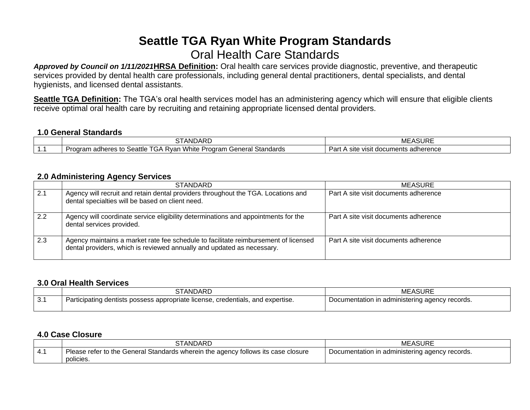# **Seattle TGA Ryan White Program Standards** Oral Health Care Standards

*Approved by Council on 1/11/2021***HRSA Definition:** Oral health care services provide diagnostic, preventive, and therapeutic services provided by dental health care professionals, including general dental practitioners, dental specialists, and dental hygienists, and licensed dental assistants.

**Seattle TGA Definition:** The TGA's oral health services model has an administering agency which will ensure that eligible clients receive optimal oral health care by recruiting and retaining appropriate licensed dental providers.

#### **1.0 General Standards**

|     | $\sim$<br>$\Lambda$ nn<br>AN'<br>DARL<br>. .                                                     | $\sqrt{1}$<br>$\sim$<br>∙ASURL<br>ME                     |
|-----|--------------------------------------------------------------------------------------------------|----------------------------------------------------------|
| . . | White<br>Seattle<br>Standards<br>Program<br>. Rvar<br>. adheres<br>ooram<br>seners,<br>tc.<br>いど | .<br>-<br>Par<br>documents<br>adherence<br>visit<br>Site |

### **2.0 Administering Agency Services**

|     | <b>STANDARD</b>                                                                                                                                               | MEASURE                               |
|-----|---------------------------------------------------------------------------------------------------------------------------------------------------------------|---------------------------------------|
| 2.1 | Agency will recruit and retain dental providers throughout the TGA. Locations and<br>dental specialties will be based on client need.                         | Part A site visit documents adherence |
| 2.2 | Agency will coordinate service eligibility determinations and appointments for the<br>dental services provided.                                               | Part A site visit documents adherence |
| 2.3 | Agency maintains a market rate fee schedule to facilitate reimbursement of licensed<br>dental providers, which is reviewed annually and updated as necessary. | Part A site visit documents adherence |

#### **3.0 Oral Health Services**

|                          | STANDARD                                                                        | <b>MEASURE</b>                                 |
|--------------------------|---------------------------------------------------------------------------------|------------------------------------------------|
| $\sim$ $\lambda$<br>.J.I | Participating dentists possess appropriate license, credentials, and expertise. | Documentation in administering agency records. |

## **4.0 Case Closure**

|   | <b>STANDARD</b>                                                                                | MEASURE                                          |
|---|------------------------------------------------------------------------------------------------|--------------------------------------------------|
| − | Please refer to the General Standards wherein the agency follows its case closure<br>policies. | p Documentation in administering agency records. |